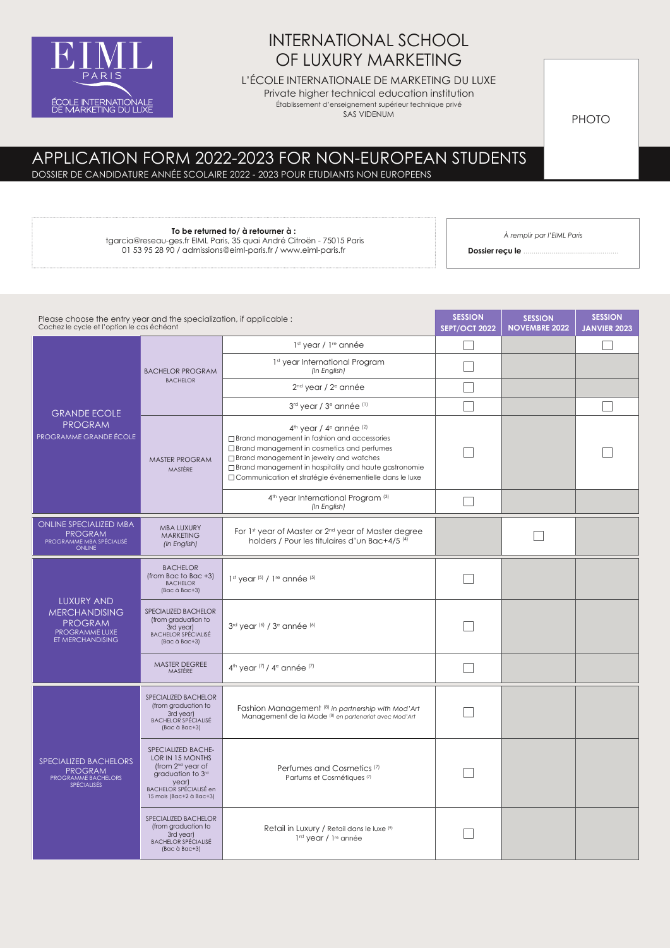

# INTERNATIONAL SCHOOL OF LUXURY MARKETING

L'ÉCOLE INTERNATIONALE DE MARKETING DU LUXE

Private higher technical education institution

Établissement d'enseignement supérieur technique privé SAS VIDENUM

PHOTO

# APPLICATION FORM 2022-2023 FOR NON-EUROPEAN STUDENTS

DOSSIER DE CANDIDATURE ANNÉE SCOLAIRE 2022 - 2023 POUR ETUDIANTS NON EUROPEENS

#### **To be returned to/ à retourner à :**  tgarcia@reseau-ges.fr EIML Paris, 35 quai André Citroën - 75015 Paris

01 53 95 28 90 / admissions@eiml-paris.fr / www.eiml-paris.fr

*À remplir par l'EIML Paris*

**Dossier reçu le** ...

| Please choose the entry year and the specialization, if applicable:<br>Cochez le cycle et l'option le cas échéant |                                                                                                                                                            |                                                                                                                                                                                                                                                                                                                                     | <b>SESSION</b><br><b>SEPT/OCT 2022</b> | <b>SESSION</b><br><b>NOVEMBRE 2022</b> | <b>SESSION</b><br><b>JANVIER 2023</b> |
|-------------------------------------------------------------------------------------------------------------------|------------------------------------------------------------------------------------------------------------------------------------------------------------|-------------------------------------------------------------------------------------------------------------------------------------------------------------------------------------------------------------------------------------------------------------------------------------------------------------------------------------|----------------------------------------|----------------------------------------|---------------------------------------|
|                                                                                                                   | <b>BACHELOR PROGRAM</b>                                                                                                                                    | 1st year / 1 <sup>re</sup> année                                                                                                                                                                                                                                                                                                    |                                        |                                        |                                       |
|                                                                                                                   |                                                                                                                                                            | 1st year International Program<br>(In English)                                                                                                                                                                                                                                                                                      |                                        |                                        |                                       |
|                                                                                                                   | <b>BACHELOR</b>                                                                                                                                            | 2 <sup>nd</sup> year / 2 <sup>e</sup> année                                                                                                                                                                                                                                                                                         |                                        |                                        |                                       |
| <b>GRANDE ECOLE</b>                                                                                               |                                                                                                                                                            | 3rd year / 3 <sup>e</sup> année (1)                                                                                                                                                                                                                                                                                                 |                                        |                                        |                                       |
| <b>PROGRAM</b><br>PROGRAMME GRANDE ÉCOLE                                                                          | MASTER PROGRAM<br>MASTÈRE                                                                                                                                  | 4 <sup>th</sup> year / 4 <sup>e</sup> année (2)<br>$\Box$ Brand management in fashion and accessories<br>□ Brand management in cosmetics and perfumes<br>$\Box$ Brand management in jewelry and watches<br>$\Box$ Brand management in hospitality and haute gastronomie<br>□ Communication et stratégie événementielle dans le luxe |                                        |                                        |                                       |
|                                                                                                                   |                                                                                                                                                            | 4 <sup>th</sup> year International Program (3)<br>(In English)                                                                                                                                                                                                                                                                      |                                        |                                        |                                       |
| <b>ONLINE SPECIALIZED MBA</b><br><b>PROGRAM</b><br>PROGRAMME MBA SPÉCIALISÉ<br><b>ONLINE</b>                      | <b>MBA LUXURY</b><br><b>MARKETING</b><br>(In English)                                                                                                      | For 1st year of Master or 2nd year of Master degree<br>holders / Pour les titulaires d'un Bac+4/5 <sup>(4)</sup>                                                                                                                                                                                                                    |                                        |                                        |                                       |
| <b>LUXURY AND</b><br><b>MERCHANDISING</b><br><b>PROGRAM</b><br>PROGRAMME LUXE<br>ET MERCHANDISING                 | <b>BACHELOR</b><br>(from Bac to Bac +3)<br><b>BACHELOR</b><br>(Bac à Bac+3)                                                                                | $1st$ year $(5)$ / $1re$ année $(5)$                                                                                                                                                                                                                                                                                                |                                        |                                        |                                       |
|                                                                                                                   | SPECIALIZED BACHELOR<br>(from graduation to<br>3rd year)<br><b>BACHELOR SPÉCIALISÉ</b><br>(Bac à Bac+3)                                                    | 3rd year (6) / 3 <sup>e</sup> année (6)                                                                                                                                                                                                                                                                                             |                                        |                                        |                                       |
|                                                                                                                   | MASTER DEGREE<br>MASTÈRE                                                                                                                                   | 4 <sup>th</sup> year (7) / 4 <sup>e</sup> année (7)                                                                                                                                                                                                                                                                                 |                                        |                                        |                                       |
| SPECIALIZED BACHELORS<br><b>PROGRAM</b><br>PROGRAMME BACHELORS<br><b>SPÉCIALISÉS</b>                              | SPECIALIZED BACHELOR<br>(from graduation to<br>3rd year)<br><b>BACHELOR SPÉCIALISÉ</b><br>(Bac à Bac+3)                                                    | Fashion Management (8) in partnership with Mod'Art<br>Management de la Mode <sup>(8)</sup> en partenariat avec Mod'Art                                                                                                                                                                                                              |                                        |                                        |                                       |
|                                                                                                                   | SPECIALIZED BACHE-<br>LOR IN 15 MONTHS<br>(from 2 <sup>nd</sup> year of<br>graduation to 3rd<br>vear)<br>BACHELOR SPÉCIALISÉ en<br>15 mois (Bac+2 à Bac+3) | Perfumes and Cosmetics <sup>(7)</sup><br>Parfums et Cosmétiques <sup>[7]</sup>                                                                                                                                                                                                                                                      |                                        |                                        |                                       |
|                                                                                                                   | SPECIALIZED BACHELOR<br>(from graduation to<br>3rd year)<br><b>BACHELOR SPÉCIALISÉ</b><br>(Bac à Bac+3)                                                    | Retail in Luxury / Retail dans le luxe (9)<br>1 <sup>rst</sup> year / 1 <sup>re</sup> année                                                                                                                                                                                                                                         |                                        |                                        |                                       |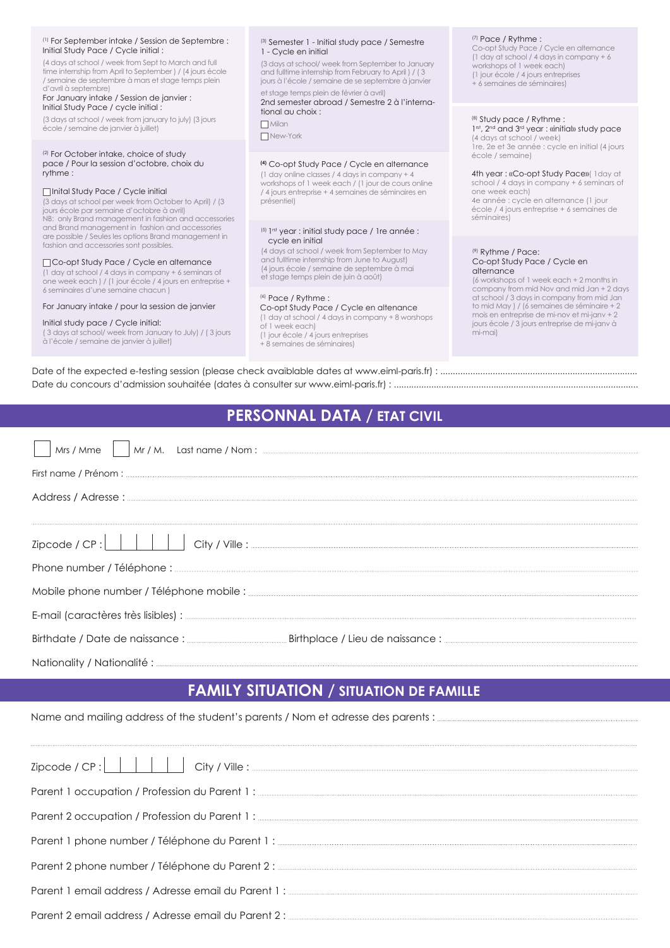#### (1) For September intake / Session de Septembre : Initial Study Pace / Cycle initial :

(4 days at school / week from Sept to March and full time internship from April to September ) / (4 jours école / semaine de septembre à mars et stage temps plein d'avril à septembre)

#### For January intake / Session de janvier : Initial Study Pace / cycle initial :

(3 days at school / week from january to july) (3 jours école / semaine de janvier à juillet)

#### (2) For October intake, choice of study pace / Pour la session d'octobre, choix du rythme :

#### Inital Study Pace / Cycle initial

(3 days at school per week from October to April) / (3 jours école par semaine d'octobre à avril) NB: only Brand management in fashion and accessories and Brand management in fashion and accessories are possible / Seules les options Brand management in fashion and accessories sont possibles.

#### Co-opt Study Pace / Cycle en alternance

(1 day at school / 4 days in company + 6 seminars of one week each ) / (1 jour école / 4 jours en entreprise + 6 seminaires d'une semaine chacun )

#### For January intake / pour la session de janvier

#### Initial study pace / Cycle initial:

( 3 days at school/ week from January to July) / ( 3 jours à l'école / semaine de janvier à juillet)

#### (3) Semester 1 - Initial study pace / Semestre 1 - Cycle en initial

(3 days at school/ week from September to January and fulltime internship from February to April ) / ( 3 jours à l'école / semaine de se septembre à janvier

#### et stage temps plein de février à avril) 2nd semester abroad / Semestre 2 à l'international au choix :

 $\Box$  Milan

New-York

### **(4)** Co-opt Study Pace / Cycle en alternance

(1 day online classes / 4 days in company + 4 workshops of 1 week each / (1 jour de cours online / 4 jours entreprise + 4 semaines de séminaires en présentiel)

#### $(5)$  1<sup>rst</sup> year : initial study pace / 1re année : cycle en initial

(4 days at school / week from September to May and fulltime internship from June to August) (4 jours école / semaine de septembre à mai et stage temps plein de juin à août)

#### (6) Pace / Rythme :

Co-opt Study Pace / Cycle en altenance

#### (1 day at school / 4 days in company + 8 worshops of 1 week each)

(1 jour école / 4 jours entreprises

+ 8 semaines de séminaires)

(7) Pace / Rythme : Co-opt Study Pace / Cycle en alternance (1 day at school / 4 days in company + 6 workshops of 1 week each) (1 jour école / 4 jours entreprises + 6 semaines de séminaires)

### (8) Study pace / Rythme :

1<sup>rst</sup>, 2<sup>nd</sup> and 3<sup>rd</sup> year : «initial» study pace (4 days at school / week) 1re, 2e et 3e année : cycle en initial (4 jours école / semaine)

#### 4th year : «Co-opt Study Pace»( 1day at school / 4 days in company + 6 seminars of one week each)

4e année : cycle en alternance (1 jour école / 4 jours entreprise + 6 semaines de séminaires)

#### (9) Rythme / Pace: Co-opt Study Pace / Cycle en alternance

(6 workshops of 1 week each + 2 months in company from mid Nov and mid Jan + 2 days at school / 3 days in company from mid Jan to mid May ) / (6 semaines de séminaire + 2 mois en entreprise de mi-nov et mi-janv + 2 jours école / 3 jours entreprise de mi-janv à mi-mai)

Date of the expected e-testing session (please check avaiblable dates at www.eiml-paris.fr) : ............................................................................... Date du concours d'admission souhaitée (dates à consulter sur www.eiml-paris.fr) : ..................................................................................................

## **PERSONNAL DATA / ETAT CIVIL**

# **FAMILY SITUATION / SITUATION DE FAMILLE**

Name and mailing address of the student's parents / Nom et adresse des parents : ...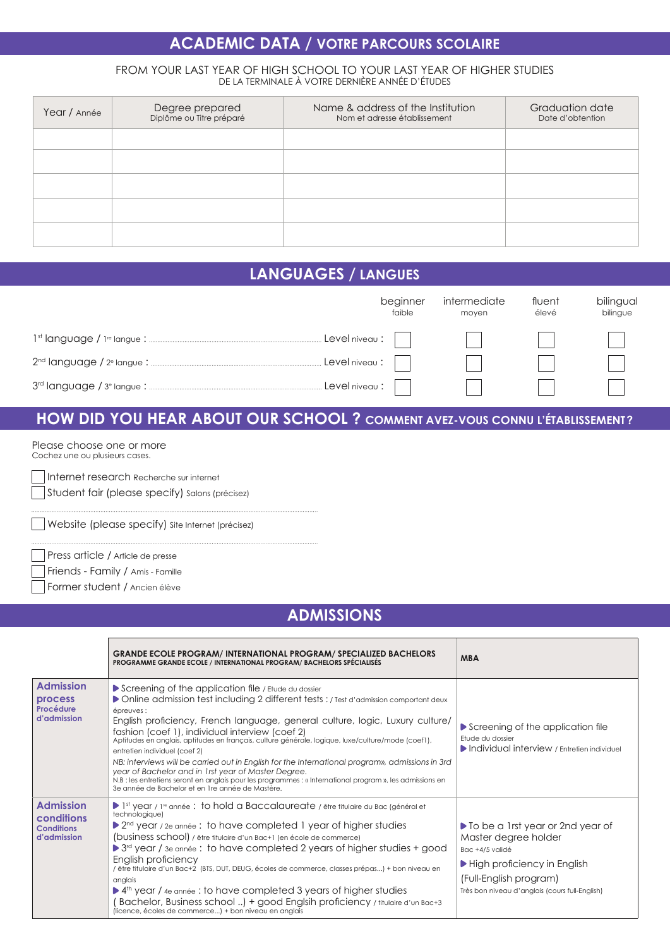# **ACADEMIC DATA / VOTRE PARCOURS SCOLAIRE**

### FROM YOUR LAST YEAR OF HIGH SCHOOL TO YOUR LAST YEAR OF HIGHER STUDIES DE LA TERMINALE À VOTRE DERNIÈRE ANNÉE D'ÉTUDES

| Year / Année | Degree prepared<br>Diplôme ou Titre préparé | Name & address of the Institution<br>Nom et adresse établissement | Graduation date<br>Date d'obtention |
|--------------|---------------------------------------------|-------------------------------------------------------------------|-------------------------------------|
|              |                                             |                                                                   |                                     |
|              |                                             |                                                                   |                                     |
|              |                                             |                                                                   |                                     |
|              |                                             |                                                                   |                                     |
|              |                                             |                                                                   |                                     |

# **LANGUAGES / LANGUES**

| beginner<br>faible       | intermediate<br>moyen | fluent<br>élevé | bilingual<br>bilingue |
|--------------------------|-----------------------|-----------------|-----------------------|
| $Level$ niveau : $\vert$ |                       |                 |                       |
| $Level$ niveau : $\vert$ |                       |                 |                       |
|                          |                       |                 |                       |

# **HOW DID YOU HEAR ABOUT OUR SCHOOL ? COMMENT AVEZ-VOUS CONNU L'ÉTABLISSEMENT?**

Please choose one or more Cochez une ou plusieurs cases.

Internet research Recherche sur internet

Student fair (please specify) Salons (précisez)

Website (please specify) Site Internet (précisez)

Press article / Article de presse

Friends - Family / Amis - Famille

Former student / Ancien élève

# **ADMISSIONS**

|                                                                    | <b>GRANDE ECOLE PROGRAM/INTERNATIONAL PROGRAM/SPECIALIZED BACHELORS</b><br><b>PROGRAMME GRANDE ECOLE / INTERNATIONAL PROGRAM/ BACHELORS SPÉCIALISÉS</b>                                                                                                                                                                                                                                                                                                                                                                                                                                                                                                                                                                                                                              | <b>MBA</b>                                                                                                                                                                                                     |
|--------------------------------------------------------------------|--------------------------------------------------------------------------------------------------------------------------------------------------------------------------------------------------------------------------------------------------------------------------------------------------------------------------------------------------------------------------------------------------------------------------------------------------------------------------------------------------------------------------------------------------------------------------------------------------------------------------------------------------------------------------------------------------------------------------------------------------------------------------------------|----------------------------------------------------------------------------------------------------------------------------------------------------------------------------------------------------------------|
| <b>Admission</b><br><b>process</b><br>Procédure<br>d'admission     | Screening of the application file / Etude du dossier<br>▶ Online admission test including 2 different tests : / Test d'admission comportant deux<br>épreuves :<br>English proficiency, French language, general culture, logic, Luxury culture/<br>fashion (coef 1), individual interview (coef 2)<br>Aptitudes en anglais, aptitudes en français, culture générale, logique, luxe/culture/mode (coef1),<br>entretien individuel (coef 2)<br>NB: interviews will be carried out in English for the International program», admissions in 3rd<br>year of Bachelor and in 1rst year of Master Degree.<br>N.B : les entretiens seront en anglais pour les programmes : « International program », les admissions en<br>3e année de Bachelor et en 1re année de Mastère.                 | Screening of the application file<br><b>Ftude du dossier</b><br>Individual interview / Entretien individuel                                                                                                    |
| <b>Admission</b><br>conditions<br><b>Conditions</b><br>d'admission | $\triangleright$ 1st year / 1 <sup>re</sup> année : to hold a Baccalaureate / être titulaire du Bac (général et<br>technologique)<br>$\triangleright$ 2 <sup>nd</sup> year / 2e année : to have completed 1 year of higher studies<br>(business school) / être titulaire d'un Bac+1 (en école de commerce)<br>$\triangleright$ 3 <sup>rd</sup> year / 3e année : to have completed 2 years of higher studies + good<br>English proficiency<br>étre titulaire d'un Bac+2 (BTS, DUT, DEUG, écoles de commerce, classes prépas) + bon niveau en<br>anglais<br>▶ 4 <sup>th</sup> year / 4e année : to have completed 3 years of higher studies<br>Bachelor, Business school ) + good Englsih proficiency / titulaire d'un Bac+3<br>(licence, écoles de commerce) + bon niveau en anglais | ▶ To be a 1rst year or 2nd year of<br>Master degree holder<br>Bac +4/5 validé<br>$\blacktriangleright$ High proficiency in English<br>(Full-English program)<br>Très bon niveau d'anglais (cours full-English) |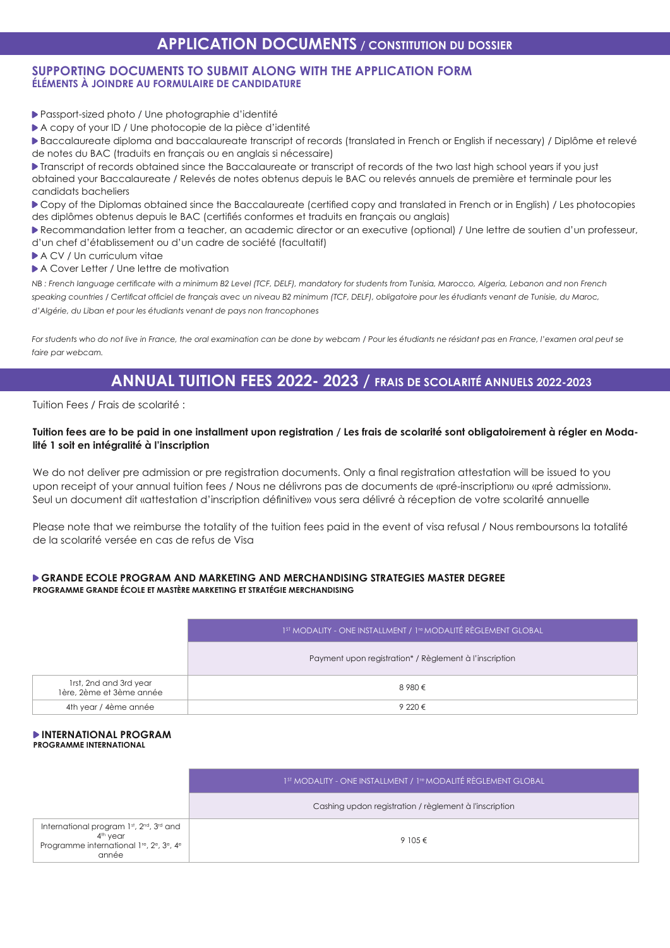### **SUPPORTING DOCUMENTS TO SUBMIT ALONG WITH THE APPLICATION FORM ÉLÉMENTS À JOINDRE AU FORMULAIRE DE CANDIDATURE**

- Passport-sized photo / Une photographie d'identité
- A copy of your ID / Une photocopie de la pièce d'identité

Baccalaureate diploma and baccalaureate transcript of records (translated in French or English if necessary) / Diplôme et relevé de notes du BAC (traduits en français ou en anglais si nécessaire)

Transcript of records obtained since the Baccalaureate or transcript of records of the two last high school years if you just obtained your Baccalaureate / Relevés de notes obtenus depuis le BAC ou relevés annuels de première et terminale pour les candidats bacheliers

Copy of the Diplomas obtained since the Baccalaureate (certified copy and translated in French or in English) / Les photocopies des diplômes obtenus depuis le BAC (certifiés conformes et traduits en français ou anglais)

Recommandation letter from a teacher, an academic director or an executive (optional) / Une lettre de soutien d'un professeur, d'un chef d'établissement ou d'un cadre de société (facultatif)

- A CV / Un curriculum vitae
- A Cover Letter / Une lettre de motivation

*NB : French language certificate with a minimum B2 Level (TCF, DELF), mandatory for students from Tunisia, Marocco, Algeria, Lebanon and non French*  speaking countries / Certificat officiel de français avec un niveau B2 minimum (TCF, DELF), obligatoire pour les étudiants venant de Tunisie, du Maroc, *d'Algérie, du Liban et pour les étudiants venant de pays non francophones*

For students who do not live in France, the oral examination can be done by webcam / Pour les étudiants ne résidant pas en France, l'examen oral peut se *faire par webcam.*

### **ANNUAL TUITION FEES 2022- 2023 / FRAIS DE SCOLARITÉ ANNUELS 2022-2023**

Tuition Fees / Frais de scolarité :

### **Tuition fees are to be paid in one installment upon registration / Les frais de scolarité sont obligatoirement à régler en Modalité 1 soit en intégralité à l'inscription**

We do not deliver pre admission or pre registration documents. Only a final registration attestation will be issued to you upon receipt of your annual tuition fees / Nous ne délivrons pas de documents de «pré-inscription» ou «pré admission». Seul un document dit «attestation d'inscription définitive» vous sera délivré à réception de votre scolarité annuelle

Please note that we reimburse the totality of the tuition fees paid in the event of visa refusal / Nous remboursons la totalité de la scolarité versée en cas de refus de Visa

### **GRANDE ECOLE PROGRAM AND MARKETING AND MERCHANDISING STRATEGIES MASTER DEGREE PROGRAMME GRANDE ÉCOLE ET MASTÈRE MARKETING ET STRATÉGIE MERCHANDISING**

|                                                    | 1 <sup>ST</sup> MODALITY - ONE INSTALLMENT / 1 <sup>re</sup> MODALITÉ RÈGLEMENT GLOBAL |  |
|----------------------------------------------------|----------------------------------------------------------------------------------------|--|
|                                                    | Payment upon registration* / Règlement à l'inscription                                 |  |
| 1rst, 2nd and 3rd year<br>1ère, 2ème et 3ème année | 8 980 €                                                                                |  |
| 4th year / 4ème année                              | 9 220 $\epsilon$                                                                       |  |

#### **INTERNATIONAL PROGRAM PROGRAMME INTERNATIONAL**

|                                                                                                                                                                        | 1 <sup>ST</sup> MODALITY - ONE INSTALLMENT / 1 <sup>re</sup> MODALITÉ RÈGLEMENT GLOBAL |  |
|------------------------------------------------------------------------------------------------------------------------------------------------------------------------|----------------------------------------------------------------------------------------|--|
|                                                                                                                                                                        | Cashing updon registration / règlement à l'inscription                                 |  |
| International program 1st, 2nd, 3rd and<br>4 <sup>th</sup> year<br>Programme international 1 <sup>re</sup> , 2 <sup>e</sup> , 3 <sup>e</sup> , 4 <sup>e</sup><br>année | 9 105 $\epsilon$                                                                       |  |